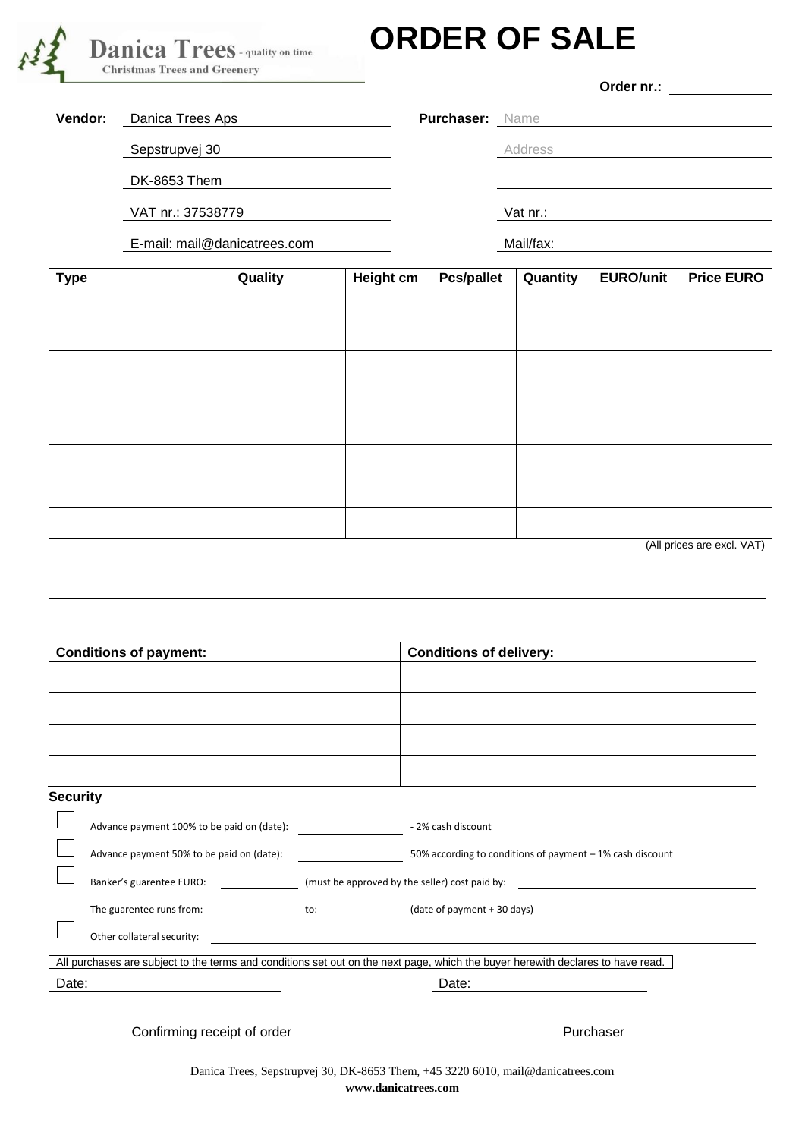

## **ORDER OF SALE**

**Order nr.:**

**Vendor:** Danica Trees Aps **Purchaser:** Name

Sepstrupvej 30 **Address** Address

DK-8653 Them

VAT nr.: 37538779 Vat nr.:

E-mail: mail@danicatrees.com Mail/fax:

| <b>Type</b> | Quality | <b>Height cm</b> | <b>Pcs/pallet</b> | Quantity | <b>EURO/unit</b> | <b>Price EURO</b>          |
|-------------|---------|------------------|-------------------|----------|------------------|----------------------------|
|             |         |                  |                   |          |                  |                            |
|             |         |                  |                   |          |                  |                            |
|             |         |                  |                   |          |                  |                            |
|             |         |                  |                   |          |                  |                            |
|             |         |                  |                   |          |                  |                            |
|             |         |                  |                   |          |                  |                            |
|             |         |                  |                   |          |                  |                            |
|             |         |                  |                   |          |                  |                            |
|             |         |                  |                   |          |                  |                            |
|             |         |                  |                   |          |                  | (All prices are excl. VAT) |

| <b>Conditions of payment:</b>                                                                                                   |                                                                |  | <b>Conditions of delivery:</b>                            |  |  |  |
|---------------------------------------------------------------------------------------------------------------------------------|----------------------------------------------------------------|--|-----------------------------------------------------------|--|--|--|
|                                                                                                                                 |                                                                |  |                                                           |  |  |  |
|                                                                                                                                 |                                                                |  |                                                           |  |  |  |
|                                                                                                                                 |                                                                |  |                                                           |  |  |  |
|                                                                                                                                 |                                                                |  |                                                           |  |  |  |
| <b>Security</b>                                                                                                                 |                                                                |  |                                                           |  |  |  |
|                                                                                                                                 | Advance payment 100% to be paid on (date):<br>2% cash discount |  |                                                           |  |  |  |
|                                                                                                                                 | Advance payment 50% to be paid on (date):                      |  | 50% according to conditions of payment - 1% cash discount |  |  |  |
|                                                                                                                                 |                                                                |  |                                                           |  |  |  |
|                                                                                                                                 | The guarentee runs from:                                       |  | to: (date of payment + 30 days)                           |  |  |  |
|                                                                                                                                 | Other collateral security:                                     |  |                                                           |  |  |  |
| All purchases are subject to the terms and conditions set out on the next page, which the buyer herewith declares to have read. |                                                                |  |                                                           |  |  |  |
| Date:                                                                                                                           |                                                                |  | Date:                                                     |  |  |  |
|                                                                                                                                 |                                                                |  |                                                           |  |  |  |
| Confirming receipt of order                                                                                                     |                                                                |  | Purchaser                                                 |  |  |  |